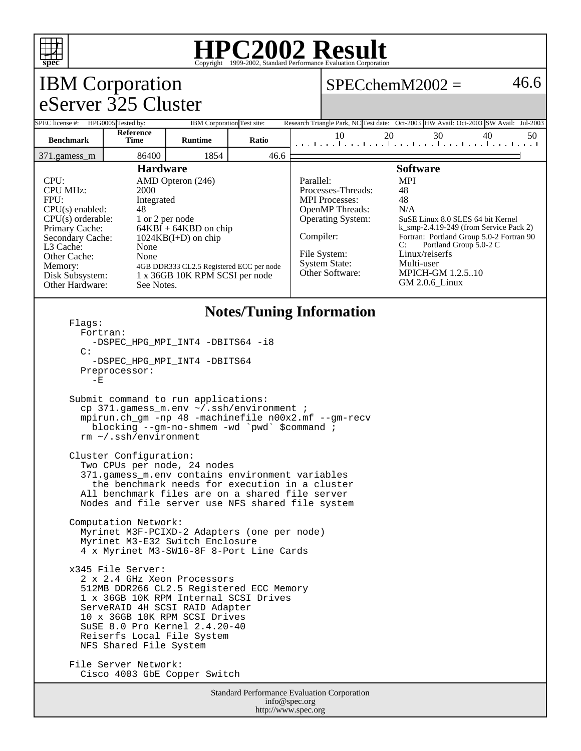

### **HPC2002 Result** Copyright 1999-2002, Standard Performance Evaluation Corporation

| <b>Prec</b>                                                                                                                                                                                                                                                                                                                                                                                                                                          |                                                                                                                          |                |                                 |                                                                                                                                                                                                                                                                                                                                                                                                                                                                         | Copyright @1999-2002, Diamain I criormance Evanuation Corporation |                                                                                      |          |
|------------------------------------------------------------------------------------------------------------------------------------------------------------------------------------------------------------------------------------------------------------------------------------------------------------------------------------------------------------------------------------------------------------------------------------------------------|--------------------------------------------------------------------------------------------------------------------------|----------------|---------------------------------|-------------------------------------------------------------------------------------------------------------------------------------------------------------------------------------------------------------------------------------------------------------------------------------------------------------------------------------------------------------------------------------------------------------------------------------------------------------------------|-------------------------------------------------------------------|--------------------------------------------------------------------------------------|----------|
| <b>IBM</b> Corporation                                                                                                                                                                                                                                                                                                                                                                                                                               |                                                                                                                          |                |                                 |                                                                                                                                                                                                                                                                                                                                                                                                                                                                         | 46.6<br>$SPECchemM2002 =$                                         |                                                                                      |          |
| eServer 325 Cluster                                                                                                                                                                                                                                                                                                                                                                                                                                  |                                                                                                                          |                |                                 |                                                                                                                                                                                                                                                                                                                                                                                                                                                                         |                                                                   |                                                                                      |          |
| SPEC license #: HPG0005 Tested by:                                                                                                                                                                                                                                                                                                                                                                                                                   |                                                                                                                          |                | IBM Corporation Test site:      |                                                                                                                                                                                                                                                                                                                                                                                                                                                                         |                                                                   | Research Triangle Park, NC Test date: Oct-2003 HW Avail: Oct-2003 SW Avail: Jul-2003 |          |
| <b>Benchmark</b>                                                                                                                                                                                                                                                                                                                                                                                                                                     | Reference<br><b>Time</b>                                                                                                 | <b>Runtime</b> | Ratio                           |                                                                                                                                                                                                                                                                                                                                                                                                                                                                         | 10                                                                | 20<br>30                                                                             | 40<br>50 |
| 371.gamess m                                                                                                                                                                                                                                                                                                                                                                                                                                         | 86400                                                                                                                    | 1854           | 46.6                            |                                                                                                                                                                                                                                                                                                                                                                                                                                                                         |                                                                   |                                                                                      |          |
| <b>Hardware</b><br>CPU:<br>AMD Opteron (246)<br><b>CPU MHz:</b><br>2000<br>FPU:<br>Integrated<br>$CPU(s)$ enabled:<br>48<br>CPU(s) orderable:<br>1 or 2 per node<br>Primary Cache:<br>$64KBI + 64KBD$ on chip<br>Secondary Cache:<br>$1024KB(I+D)$ on chip<br>L3 Cache:<br>None<br>Other Cache:<br>None<br>Memory:<br>4GB DDR333 CL2.5 Registered ECC per node<br>Disk Subsystem:<br>1 x 36GB 10K RPM SCSI per node<br>Other Hardware:<br>See Notes. |                                                                                                                          |                |                                 | <b>Software</b><br><b>MPI</b><br>Parallel:<br>Processes-Threads:<br>48<br><b>MPI</b> Processes:<br>48<br>OpenMP Threads:<br>N/A<br><b>Operating System:</b><br>SuSE Linux 8.0 SLES 64 bit Kernel<br>$k$ _smp-2.4.19-249 (from Service Pack 2)<br>Compiler:<br>Fortran: Portland Group 5.0-2 Fortran 90<br>Portland Group 5.0-2 C<br>C:<br>Linux/reiserfs<br>File System:<br><b>System State:</b><br>Multi-user<br>Other Software:<br>MPICH-GM 1.2.510<br>GM 2.0.6 Linux |                                                                   |                                                                                      |          |
| Flaqs:<br>Fortran:<br>C:<br>$-E$                                                                                                                                                                                                                                                                                                                                                                                                                     | -DSPEC HPG MPI INT4 -DBITS64 -i8<br>-DSPEC HPG MPI INT4 -DBITS64<br>Preprocessor:<br>Submit command to run applications: |                | <b>Notes/Tuning Information</b> |                                                                                                                                                                                                                                                                                                                                                                                                                                                                         |                                                                   |                                                                                      |          |

 cp 371.gamess\_m.env ~/.ssh/environment ; mpirun.ch\_gm -np 48 -machinefile n00x2.mf --gm-recv blocking --gm-no-shmem -wd `pwd` \$command ; rm ~/.ssh/environment

 Cluster Configuration: Two CPUs per node, 24 nodes 371.gamess\_m.env contains environment variables the benchmark needs for execution in a cluster All benchmark files are on a shared file server Nodes and file server use NFS shared file system

 Computation Network: Myrinet M3F-PCIXD-2 Adapters (one per node) Myrinet M3-E32 Switch Enclosure 4 x Myrinet M3-SW16-8F 8-Port Line Cards

 x345 File Server: 2 x 2.4 GHz Xeon Processors 512MB DDR266 CL2.5 Registered ECC Memory 1 x 36GB 10K RPM Internal SCSI Drives ServeRAID 4H SCSI RAID Adapter 10 x 36GB 10K RPM SCSI Drives SuSE 8.0 Pro Kernel 2.4.20-40 Reiserfs Local File System NFS Shared File System

 File Server Network: Cisco 4003 GbE Copper Switch

> Standard Performance Evaluation Corporation info@spec.org http://www.spec.org